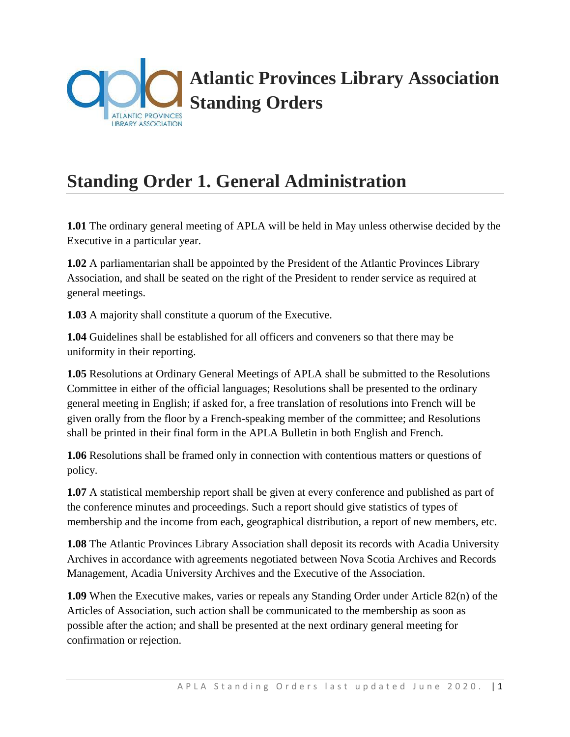

# **Standing Order 1. General Administration**

**1.01** The ordinary general meeting of APLA will be held in May unless otherwise decided by the Executive in a particular year.

**1.02** A parliamentarian shall be appointed by the President of the Atlantic Provinces Library Association, and shall be seated on the right of the President to render service as required at general meetings.

**1.03** A majority shall constitute a quorum of the Executive.

**1.04** Guidelines shall be established for all officers and conveners so that there may be uniformity in their reporting.

**1.05** Resolutions at Ordinary General Meetings of APLA shall be submitted to the Resolutions Committee in either of the official languages; Resolutions shall be presented to the ordinary general meeting in English; if asked for, a free translation of resolutions into French will be given orally from the floor by a French-speaking member of the committee; and Resolutions shall be printed in their final form in the APLA Bulletin in both English and French.

**1.06** Resolutions shall be framed only in connection with contentious matters or questions of policy.

**1.07** A statistical membership report shall be given at every conference and published as part of the conference minutes and proceedings. Such a report should give statistics of types of membership and the income from each, geographical distribution, a report of new members, etc.

**1.08** The Atlantic Provinces Library Association shall deposit its records with Acadia University Archives in accordance with agreements negotiated between Nova Scotia Archives and Records Management, Acadia University Archives and the Executive of the Association.

**1.09** When the Executive makes, varies or repeals any Standing Order under Article 82(n) of the Articles of Association, such action shall be communicated to the membership as soon as possible after the action; and shall be presented at the next ordinary general meeting for confirmation or rejection.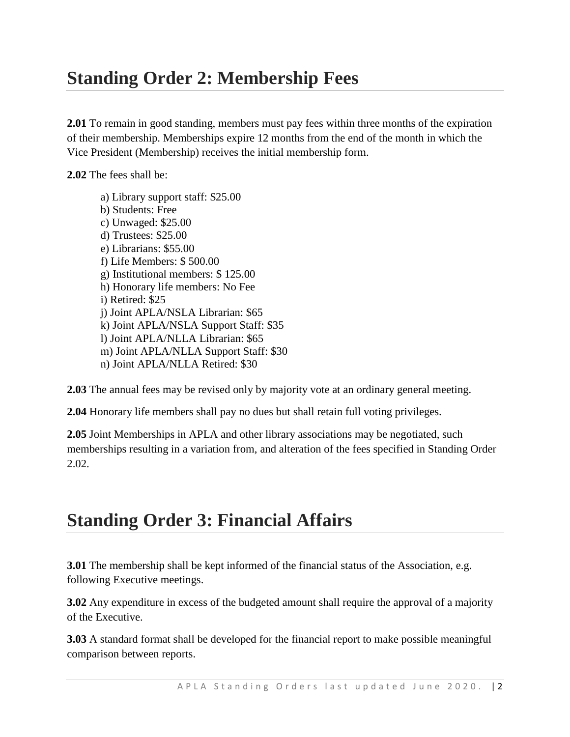## **Standing Order 2: Membership Fees**

**2.01** To remain in good standing, members must pay fees within three months of the expiration of their membership. Memberships expire 12 months from the end of the month in which the Vice President (Membership) receives the initial membership form.

**2.02** The fees shall be:

a) Library support staff: \$25.00 b) Students: Free c) Unwaged: \$25.00 d) Trustees: \$25.00 e) Librarians: \$55.00 f) Life Members: \$ 500.00 g) Institutional members: \$ 125.00 h) Honorary life members: No Fee i) Retired: \$25 j) Joint APLA/NSLA Librarian: \$65 k) Joint APLA/NSLA Support Staff: \$35 l) Joint APLA/NLLA Librarian: \$65 m) Joint APLA/NLLA Support Staff: \$30 n) Joint APLA/NLLA Retired: \$30

**2.03** The annual fees may be revised only by majority vote at an ordinary general meeting.

**2.04** Honorary life members shall pay no dues but shall retain full voting privileges.

**2.05** Joint Memberships in APLA and other library associations may be negotiated, such memberships resulting in a variation from, and alteration of the fees specified in Standing Order 2.02.

## **Standing Order 3: Financial Affairs**

**3.01** The membership shall be kept informed of the financial status of the Association, e.g. following Executive meetings.

**3.02** Any expenditure in excess of the budgeted amount shall require the approval of a majority of the Executive.

**3.03** A standard format shall be developed for the financial report to make possible meaningful comparison between reports.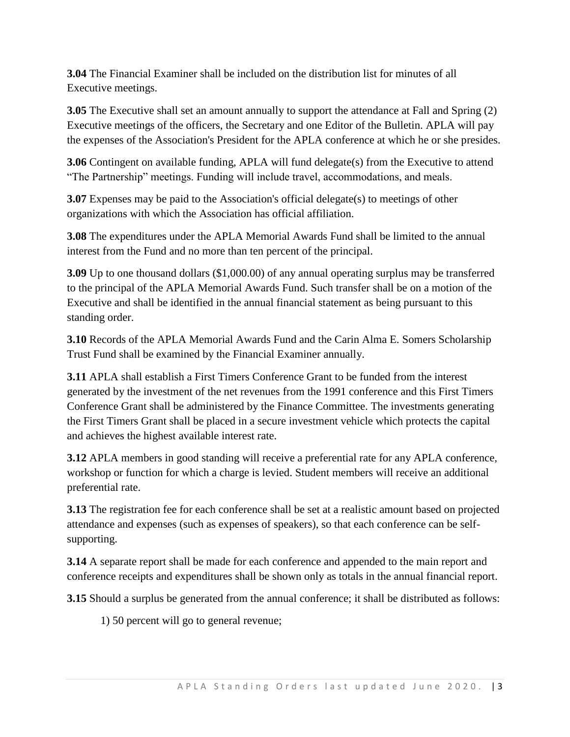**3.04** The Financial Examiner shall be included on the distribution list for minutes of all Executive meetings.

**3.05** The Executive shall set an amount annually to support the attendance at Fall and Spring (2) Executive meetings of the officers, the Secretary and one Editor of the Bulletin. APLA will pay the expenses of the Association's President for the APLA conference at which he or she presides.

**3.06** Contingent on available funding, APLA will fund delegate(s) from the Executive to attend "The Partnership" meetings. Funding will include travel, accommodations, and meals.

**3.07** Expenses may be paid to the Association's official delegate(s) to meetings of other organizations with which the Association has official affiliation.

**3.08** The expenditures under the APLA Memorial Awards Fund shall be limited to the annual interest from the Fund and no more than ten percent of the principal.

**3.09** Up to one thousand dollars (\$1,000.00) of any annual operating surplus may be transferred to the principal of the APLA Memorial Awards Fund. Such transfer shall be on a motion of the Executive and shall be identified in the annual financial statement as being pursuant to this standing order.

**3.10** Records of the APLA Memorial Awards Fund and the Carin Alma E. Somers Scholarship Trust Fund shall be examined by the Financial Examiner annually.

**3.11** APLA shall establish a First Timers Conference Grant to be funded from the interest generated by the investment of the net revenues from the 1991 conference and this First Timers Conference Grant shall be administered by the Finance Committee. The investments generating the First Timers Grant shall be placed in a secure investment vehicle which protects the capital and achieves the highest available interest rate.

**3.12** APLA members in good standing will receive a preferential rate for any APLA conference, workshop or function for which a charge is levied. Student members will receive an additional preferential rate.

**3.13** The registration fee for each conference shall be set at a realistic amount based on projected attendance and expenses (such as expenses of speakers), so that each conference can be selfsupporting.

**3.14** A separate report shall be made for each conference and appended to the main report and conference receipts and expenditures shall be shown only as totals in the annual financial report.

**3.15** Should a surplus be generated from the annual conference; it shall be distributed as follows:

1) 50 percent will go to general revenue;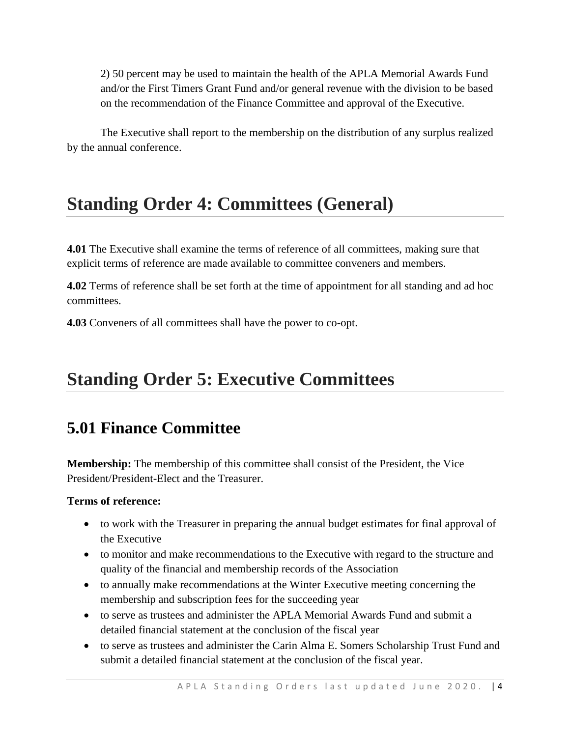2) 50 percent may be used to maintain the health of the APLA Memorial Awards Fund and/or the First Timers Grant Fund and/or general revenue with the division to be based on the recommendation of the Finance Committee and approval of the Executive.

The Executive shall report to the membership on the distribution of any surplus realized by the annual conference.

## **Standing Order 4: Committees (General)**

**4.01** The Executive shall examine the terms of reference of all committees, making sure that explicit terms of reference are made available to committee conveners and members.

**4.02** Terms of reference shall be set forth at the time of appointment for all standing and ad hoc committees.

**4.03** Conveners of all committees shall have the power to co-opt.

## **Standing Order 5: Executive Committees**

### **5.01 Finance Committee**

**Membership:** The membership of this committee shall consist of the President, the Vice President/President-Elect and the Treasurer.

#### **Terms of reference:**

- to work with the Treasurer in preparing the annual budget estimates for final approval of the Executive
- to monitor and make recommendations to the Executive with regard to the structure and quality of the financial and membership records of the Association
- to annually make recommendations at the Winter Executive meeting concerning the membership and subscription fees for the succeeding year
- to serve as trustees and administer the APLA Memorial Awards Fund and submit a detailed financial statement at the conclusion of the fiscal year
- to serve as trustees and administer the Carin Alma E. Somers Scholarship Trust Fund and submit a detailed financial statement at the conclusion of the fiscal year.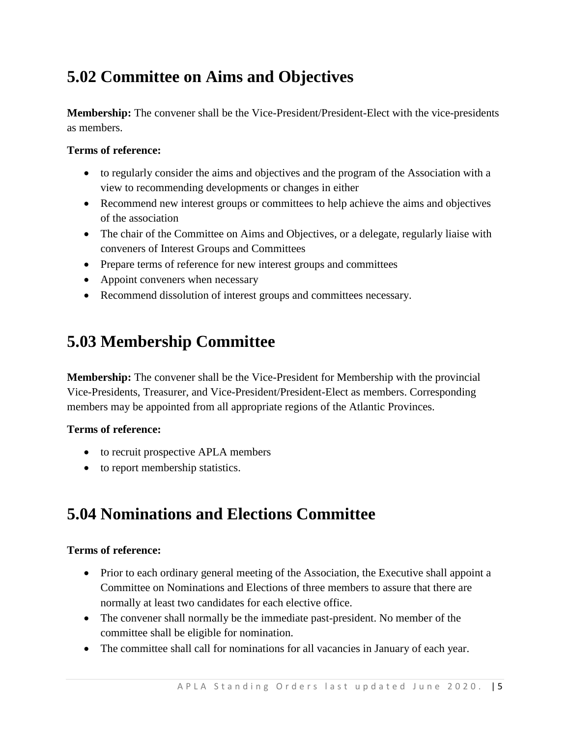## **5.02 Committee on Aims and Objectives**

**Membership:** The convener shall be the Vice-President/President-Elect with the vice-presidents as members.

#### **Terms of reference:**

- to regularly consider the aims and objectives and the program of the Association with a view to recommending developments or changes in either
- Recommend new interest groups or committees to help achieve the aims and objectives of the association
- The chair of the Committee on Aims and Objectives, or a delegate, regularly liaise with conveners of Interest Groups and Committees
- Prepare terms of reference for new interest groups and committees
- Appoint conveners when necessary
- Recommend dissolution of interest groups and committees necessary.

### **5.03 Membership Committee**

**Membership:** The convener shall be the Vice-President for Membership with the provincial Vice-Presidents, Treasurer, and Vice-President/President-Elect as members. Corresponding members may be appointed from all appropriate regions of the Atlantic Provinces.

#### **Terms of reference:**

- to recruit prospective APLA members
- to report membership statistics.

### **5.04 Nominations and Elections Committee**

#### **Terms of reference:**

- Prior to each ordinary general meeting of the Association, the Executive shall appoint a Committee on Nominations and Elections of three members to assure that there are normally at least two candidates for each elective office.
- The convener shall normally be the immediate past-president. No member of the committee shall be eligible for nomination.
- The committee shall call for nominations for all vacancies in January of each year.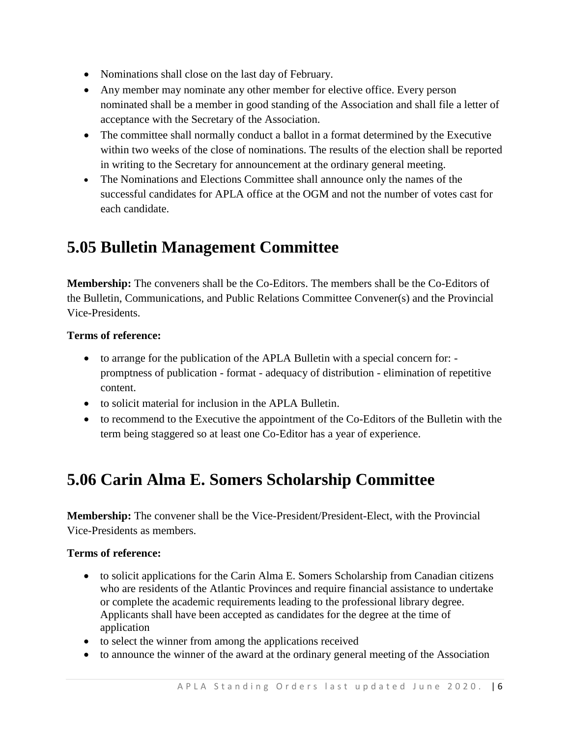- Nominations shall close on the last day of February.
- Any member may nominate any other member for elective office. Every person nominated shall be a member in good standing of the Association and shall file a letter of acceptance with the Secretary of the Association.
- The committee shall normally conduct a ballot in a format determined by the Executive within two weeks of the close of nominations. The results of the election shall be reported in writing to the Secretary for announcement at the ordinary general meeting.
- The Nominations and Elections Committee shall announce only the names of the successful candidates for APLA office at the OGM and not the number of votes cast for each candidate.

### **5.05 Bulletin Management Committee**

**Membership:** The conveners shall be the Co-Editors. The members shall be the Co-Editors of the Bulletin, Communications, and Public Relations Committee Convener(s) and the Provincial Vice-Presidents.

### **Terms of reference:**

- to arrange for the publication of the APLA Bulletin with a special concern for: promptness of publication - format - adequacy of distribution - elimination of repetitive content.
- to solicit material for inclusion in the APLA Bulletin.
- to recommend to the Executive the appointment of the Co-Editors of the Bulletin with the term being staggered so at least one Co-Editor has a year of experience.

## **5.06 Carin Alma E. Somers Scholarship Committee**

**Membership:** The convener shall be the Vice-President/President-Elect, with the Provincial Vice-Presidents as members.

#### **Terms of reference:**

- to solicit applications for the Carin Alma E. Somers Scholarship from Canadian citizens who are residents of the Atlantic Provinces and require financial assistance to undertake or complete the academic requirements leading to the professional library degree. Applicants shall have been accepted as candidates for the degree at the time of application
- to select the winner from among the applications received
- to announce the winner of the award at the ordinary general meeting of the Association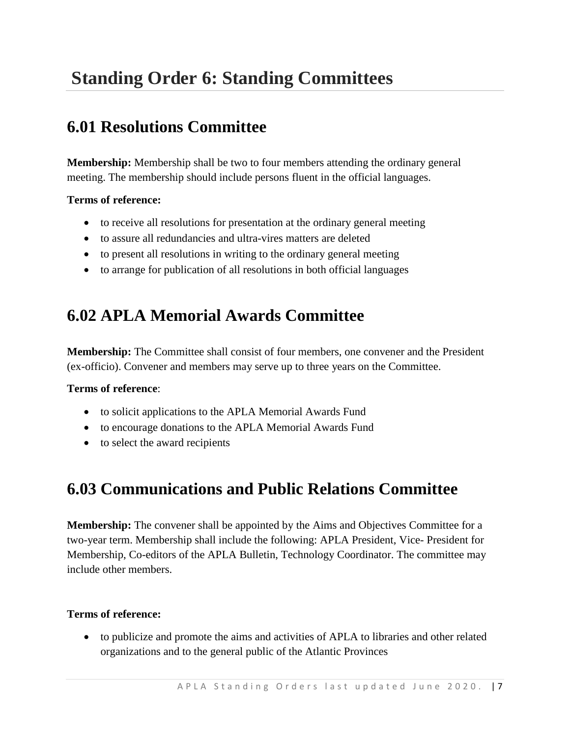# **Standing Order 6: Standing Committees**

### **6.01 Resolutions Committee**

**Membership:** Membership shall be two to four members attending the ordinary general meeting. The membership should include persons fluent in the official languages.

### **Terms of reference:**

- to receive all resolutions for presentation at the ordinary general meeting
- to assure all redundancies and ultra-vires matters are deleted
- to present all resolutions in writing to the ordinary general meeting
- to arrange for publication of all resolutions in both official languages

### **6.02 APLA Memorial Awards Committee**

**Membership:** The Committee shall consist of four members, one convener and the President (ex-officio). Convener and members may serve up to three years on the Committee.

#### **Terms of reference**:

- to solicit applications to the APLA Memorial Awards Fund
- to encourage donations to the APLA Memorial Awards Fund
- to select the award recipients

## **6.03 Communications and Public Relations Committee**

**Membership:** The convener shall be appointed by the Aims and Objectives Committee for a two-year term. Membership shall include the following: APLA President, Vice- President for Membership, Co-editors of the APLA Bulletin, Technology Coordinator. The committee may include other members.

#### **Terms of reference:**

 to publicize and promote the aims and activities of APLA to libraries and other related organizations and to the general public of the Atlantic Provinces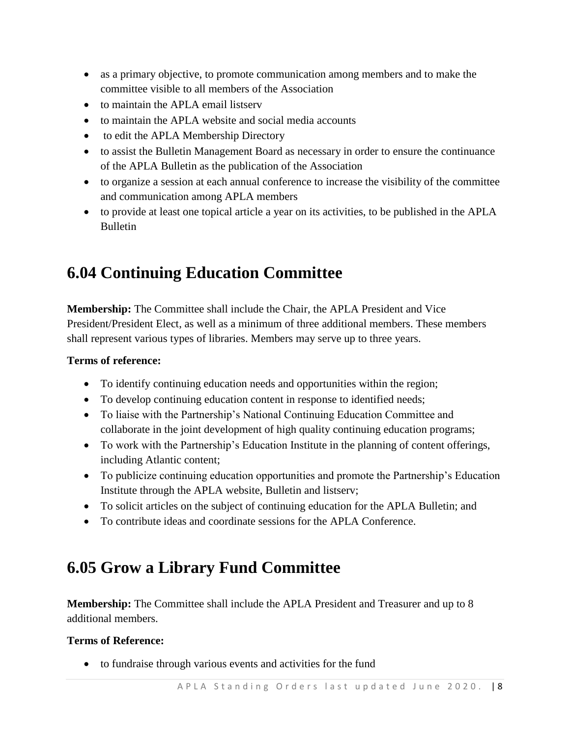- as a primary objective, to promote communication among members and to make the committee visible to all members of the Association
- to maintain the APLA email listserv
- to maintain the APLA website and social media accounts
- to edit the APLA Membership Directory
- to assist the Bulletin Management Board as necessary in order to ensure the continuance of the APLA Bulletin as the publication of the Association
- to organize a session at each annual conference to increase the visibility of the committee and communication among APLA members
- to provide at least one topical article a year on its activities, to be published in the APLA Bulletin

## **6.04 Continuing Education Committee**

**Membership:** The Committee shall include the Chair, the APLA President and Vice President/President Elect, as well as a minimum of three additional members. These members shall represent various types of libraries. Members may serve up to three years.

#### **Terms of reference:**

- To identify continuing education needs and opportunities within the region;
- To develop continuing education content in response to identified needs;
- To liaise with the Partnership's National Continuing Education Committee and collaborate in the joint development of high quality continuing education programs;
- To work with the Partnership's Education Institute in the planning of content offerings, including Atlantic content;
- To publicize continuing education opportunities and promote the Partnership's Education Institute through the APLA website, Bulletin and listserv;
- To solicit articles on the subject of continuing education for the APLA Bulletin; and
- To contribute ideas and coordinate sessions for the APLA Conference.

### **6.05 Grow a Library Fund Committee**

**Membership:** The Committee shall include the APLA President and Treasurer and up to 8 additional members.

#### **Terms of Reference:**

to fundraise through various events and activities for the fund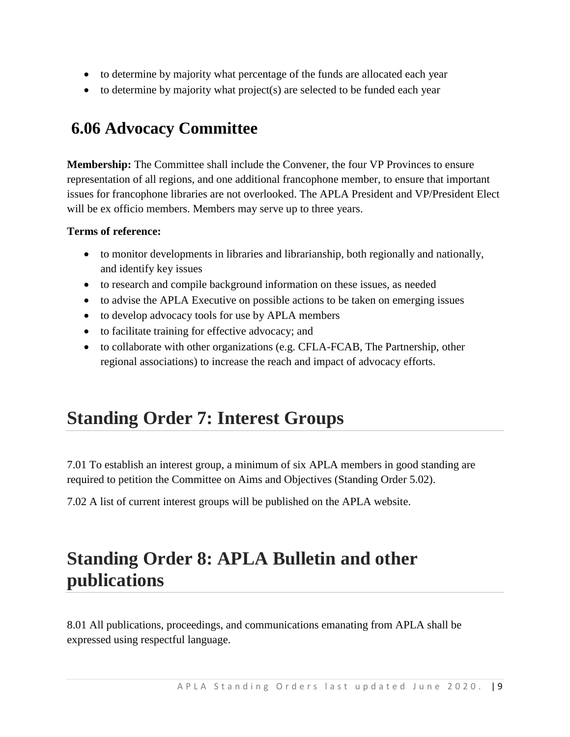- to determine by majority what percentage of the funds are allocated each year
- $\bullet$  to determine by majority what project(s) are selected to be funded each year

## **6.06 Advocacy Committee**

**Membership:** The Committee shall include the Convener, the four VP Provinces to ensure representation of all regions, and one additional francophone member, to ensure that important issues for francophone libraries are not overlooked. The APLA President and VP/President Elect will be ex officio members. Members may serve up to three years.

#### **Terms of reference:**

- to monitor developments in libraries and librarianship, both regionally and nationally, and identify key issues
- to research and compile background information on these issues, as needed
- to advise the APLA Executive on possible actions to be taken on emerging issues
- to develop advocacy tools for use by APLA members
- to facilitate training for effective advocacy; and
- to collaborate with other organizations (e.g. CFLA-FCAB, The Partnership, other regional associations) to increase the reach and impact of advocacy efforts.

## **Standing Order 7: Interest Groups**

7.01 To establish an interest group, a minimum of six APLA members in good standing are required to petition the Committee on Aims and Objectives (Standing Order 5.02).

7.02 A list of current interest groups will be published on the APLA website.

# **Standing Order 8: APLA Bulletin and other publications**

8.01 All publications, proceedings, and communications emanating from APLA shall be expressed using respectful language.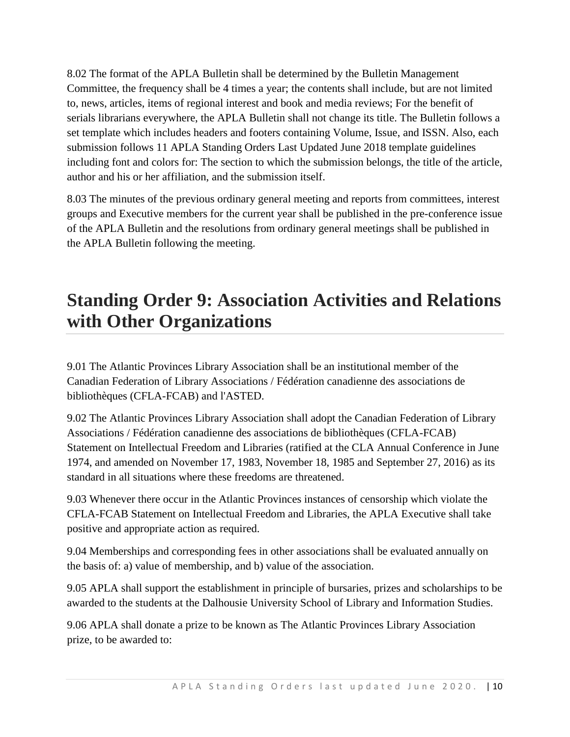8.02 The format of the APLA Bulletin shall be determined by the Bulletin Management Committee, the frequency shall be 4 times a year; the contents shall include, but are not limited to, news, articles, items of regional interest and book and media reviews; For the benefit of serials librarians everywhere, the APLA Bulletin shall not change its title. The Bulletin follows a set template which includes headers and footers containing Volume, Issue, and ISSN. Also, each submission follows 11 APLA Standing Orders Last Updated June 2018 template guidelines including font and colors for: The section to which the submission belongs, the title of the article, author and his or her affiliation, and the submission itself.

8.03 The minutes of the previous ordinary general meeting and reports from committees, interest groups and Executive members for the current year shall be published in the pre-conference issue of the APLA Bulletin and the resolutions from ordinary general meetings shall be published in the APLA Bulletin following the meeting.

# **Standing Order 9: Association Activities and Relations with Other Organizations**

9.01 The Atlantic Provinces Library Association shall be an institutional member of the Canadian Federation of Library Associations / Fédération canadienne des associations de bibliothèques (CFLA-FCAB) and l'ASTED.

9.02 The Atlantic Provinces Library Association shall adopt the Canadian Federation of Library Associations / Fédération canadienne des associations de bibliothèques (CFLA-FCAB) Statement on Intellectual Freedom and Libraries (ratified at the CLA Annual Conference in June 1974, and amended on November 17, 1983, November 18, 1985 and September 27, 2016) as its standard in all situations where these freedoms are threatened.

9.03 Whenever there occur in the Atlantic Provinces instances of censorship which violate the CFLA-FCAB Statement on Intellectual Freedom and Libraries, the APLA Executive shall take positive and appropriate action as required.

9.04 Memberships and corresponding fees in other associations shall be evaluated annually on the basis of: a) value of membership, and b) value of the association.

9.05 APLA shall support the establishment in principle of bursaries, prizes and scholarships to be awarded to the students at the Dalhousie University School of Library and Information Studies.

9.06 APLA shall donate a prize to be known as The Atlantic Provinces Library Association prize, to be awarded to: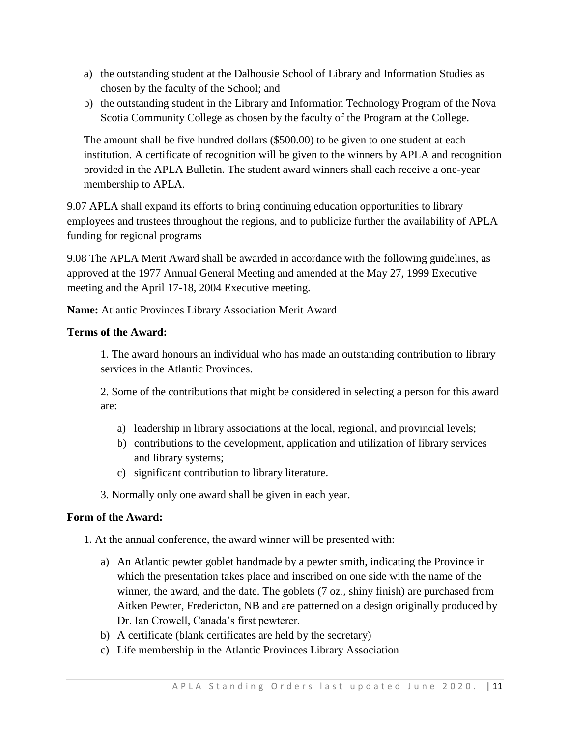- a) the outstanding student at the Dalhousie School of Library and Information Studies as chosen by the faculty of the School; and
- b) the outstanding student in the Library and Information Technology Program of the Nova Scotia Community College as chosen by the faculty of the Program at the College.

The amount shall be five hundred dollars (\$500.00) to be given to one student at each institution. A certificate of recognition will be given to the winners by APLA and recognition provided in the APLA Bulletin. The student award winners shall each receive a one-year membership to APLA.

9.07 APLA shall expand its efforts to bring continuing education opportunities to library employees and trustees throughout the regions, and to publicize further the availability of APLA funding for regional programs

9.08 The APLA Merit Award shall be awarded in accordance with the following guidelines, as approved at the 1977 Annual General Meeting and amended at the May 27, 1999 Executive meeting and the April 17-18, 2004 Executive meeting.

**Name:** Atlantic Provinces Library Association Merit Award

### **Terms of the Award:**

1. The award honours an individual who has made an outstanding contribution to library services in the Atlantic Provinces.

2. Some of the contributions that might be considered in selecting a person for this award are:

- a) leadership in library associations at the local, regional, and provincial levels;
- b) contributions to the development, application and utilization of library services and library systems;
- c) significant contribution to library literature.
- 3. Normally only one award shall be given in each year.

### **Form of the Award:**

1. At the annual conference, the award winner will be presented with:

- a) An Atlantic pewter goblet handmade by a pewter smith, indicating the Province in which the presentation takes place and inscribed on one side with the name of the winner, the award, and the date. The goblets (7 oz., shiny finish) are purchased from Aitken Pewter, Fredericton, NB and are patterned on a design originally produced by Dr. Ian Crowell, Canada's first pewterer.
- b) A certificate (blank certificates are held by the secretary)
- c) Life membership in the Atlantic Provinces Library Association